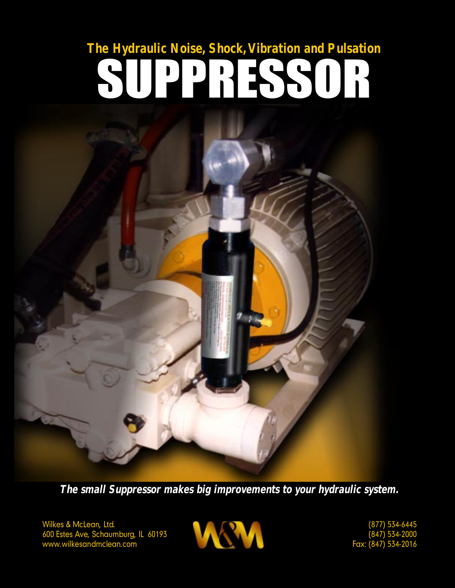# **The Hydraulic Noise, Shock, Vibration and Pulsation** SUPPRESSOR

**The small Suppressor makes big improvements to your hydraulic system.**

Wilkes & McLean, Ltd. 600 Estes Ave, Schaumburg, IL 60193 www.wilkesandmclean.com



(877) 534-6445 (847) 534-2000 Fax: (847) 534-2016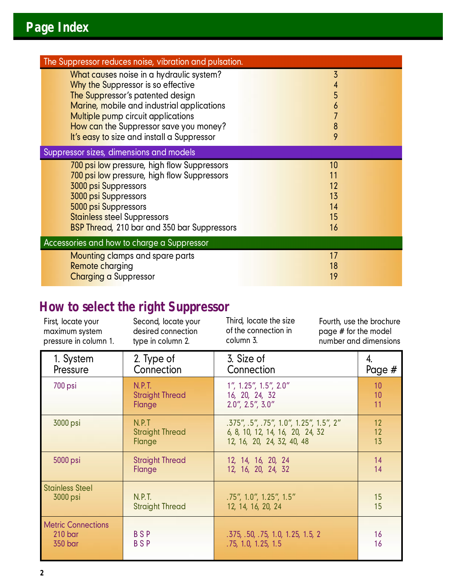| The Suppressor reduces noise, vibration and pulsation.                               |        |  |
|--------------------------------------------------------------------------------------|--------|--|
| What causes noise in a hydraulic system?<br>Why the Suppressor is so effective       | 3      |  |
| The Suppressor's patented design                                                     | 5      |  |
| Marine, mobile and industrial applications                                           | 6      |  |
| <b>Multiple pump circuit applications</b>                                            |        |  |
| How can the Suppressor save you money?<br>It's easy to size and install a Suppressor | 8<br>9 |  |
|                                                                                      |        |  |
| Suppressor sizes, dimensions and models                                              |        |  |
| 700 psi low pressure, high flow Suppressors                                          | 10     |  |
| 700 psi low pressure, high flow Suppressors                                          | 11     |  |
| <b>3000 psi Suppressors</b>                                                          | 12     |  |
| <b>3000 psi Suppressors</b>                                                          | 13     |  |
| 5000 psi Suppressors                                                                 | 14     |  |
| <b>Stainless steel Suppressors</b>                                                   | 15     |  |
| <b>BSP Thread, 210 bar and 350 bar Suppressors</b>                                   | 16     |  |
| Accessories and how to charge a Suppressor                                           |        |  |
| <b>Mounting clamps and spare parts</b>                                               | 17     |  |
| <b>Remote charging</b>                                                               | 18     |  |
| <b>Charging a Suppressor</b>                                                         | 19     |  |

### **How to select the right Suppressor**

| First, locate your                                         | Second, locate your      | Third, locate the size                                   | Fourth, use the brochure |  |
|------------------------------------------------------------|--------------------------|----------------------------------------------------------|--------------------------|--|
| maximum system                                             | desired connection       | of the connection in                                     | page # for the model     |  |
| pressure in column 1.                                      | type in column 2.        | column 3.                                                | number and dimensions    |  |
| 1. System                                                  | 2. Type of               | 3. Size of                                               | 4.                       |  |
| Pressure                                                   | Connection               | Connection                                               | Page #                   |  |
| 700 psi                                                    | N.P.T.                   | 1", 1.25", 1.5", 2.0"                                    | 10                       |  |
|                                                            | <b>Straight Thread</b>   | 16, 20, 24, 32                                           | 10                       |  |
|                                                            | Flange                   | $2.0$ ", $2.5$ ", $3.0$ "                                | 11                       |  |
| 3000 psi                                                   | N.P.T                    | .375", .5", .75", 1.0", 1.25", 1.5", 2"                  | 12                       |  |
|                                                            | <b>Straight Thread</b>   | 6, 8, 10, 12, 14, 16, 20, 24, 32                         | 12                       |  |
|                                                            | Flange                   | 12, 16, 20, 24, 32, 40, 48                               | 13                       |  |
| 5000 psi                                                   | <b>Straight Thread</b>   | 12, 14, 16, 20, 24                                       | 14                       |  |
|                                                            | Flange                   | 12, 16, 20, 24, 32                                       | 14                       |  |
| <b>Stainless Steel</b>                                     | <b>N.P.T.</b>            | .75", 1.0", 1.25", 1.5"                                  | 15                       |  |
| 3000 psi                                                   | <b>Straight Thread</b>   | 12, 14, 16, 20, 24                                       | 15                       |  |
| <b>Metric Connections</b><br>210 <sub>bar</sub><br>350 bar | <b>BSP</b><br><b>BSP</b> | .375, .50, .75, 1.0, 1.25, 1.5, 2<br>.75, 1.0, 1.25, 1.5 | 16<br>16                 |  |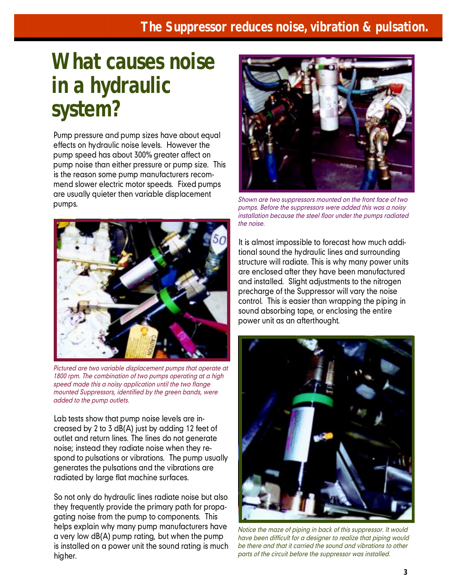### **What causes noise in a hydraulic system?**

Pump pressure and pump sizes have about equal effects on hydraulic noise levels. However the pump speed has about 300% greater affect on pump noise than either pressure or pump size. This is the reason some pump manufacturers recommend slower electric motor speeds. Fixed pumps are usually quieter then variable displacement pumps.



*Pictured are two variable displacement pumps that operate at 1800 rpm. The combination of two pumps operating at a high speed made this a noisy application until the two flange mounted Suppressors, identified by the green bands, were added to the pump outlets.*

Lab tests show that pump noise levels are increased by 2 to 3 dB(A) just by adding 12 feet of outlet and return lines. The lines do not generate noise; instead they radiate noise when they respond to pulsations or vibrations. The pump usually generates the pulsations and the vibrations are radiated by large flat machine surfaces.

So not only do hydraulic lines radiate noise but also they frequently provide the primary path for propagating noise from the pump to components. This helps explain why many pump manufacturers have a very low dB(A) pump rating, but when the pump is installed on a power unit the sound rating is much higher.



*Shown are two suppressors mounted on the front face of two pumps. Before the suppressors were added this was a noisy installation because the steel floor under the pumps radiated the noise.*

It is almost impossible to forecast how much additional sound the hydraulic lines and surrounding structure will radiate. This is why many power units are enclosed after they have been manufactured and installed. Slight adjustments to the nitrogen precharge of the Suppressor will vary the noise control. This is easier than wrapping the piping in sound absorbing tape, or enclosing the entire power unit as an afterthought.



*Notice the maze of piping in back of this suppressor. It would have been difficult for a designer to realize that piping would be there and that it carried the sound and vibrations to other parts of the circuit before the suppressor was installed.*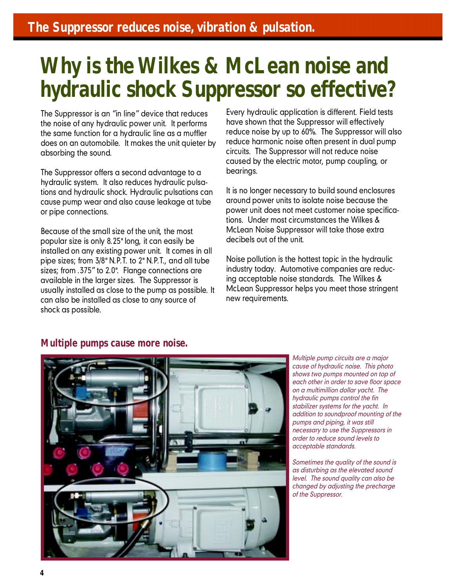### **Why is the Wilkes & McLean noise and hydraulic shock Suppressor so effective?**

The Suppressor is an "in line" device that reduces the noise of any hydraulic power unit. It performs the same function for a hydraulic line as a muffler does on an automobile. It makes the unit quieter by absorbing the sound.

The Suppressor offers a second advantage to a hydraulic system. It also reduces hydraulic pulsations and hydraulic shock. Hydraulic pulsations can cause pump wear and also cause leakage at tube or pipe connections.

Because of the small size of the unit, the most popular size is only 8.25" long, it can easily be installed on any existing power unit. It comes in all pipe sizes; from 3/8" N.P.T. to 2" N.P.T., and all tube sizes; from .375" to 2.0". Flange connections are available in the larger sizes. The Suppressor is usually installed as close to the pump as possible. It can also be installed as close to any source of shock as possible.

Every hydraulic application is different. Field tests have shown that the Suppressor will effectively reduce noise by up to 60%. The Suppressor will also reduce harmonic noise often present in dual pump circuits. The Suppressor will not reduce noise caused by the electric motor, pump coupling, or bearings.

It is no longer necessary to build sound enclosures around power units to isolate noise because the power unit does not meet customer noise specifications. Under most circumstances the Wilkes & McLean Noise Suppressor will take those extra decibels out of the unit.

Noise pollution is the hottest topic in the hydraulic industry today. Automotive companies are reducing acceptable noise standards. The Wilkes & McLean Suppressor helps you meet those stringent new requirements.

#### **Multiple pumps cause more noise.**



*Multiple pump circuits are a major cause of hydraulic noise. This photo shows two pumps mounted on top of each other in order to save floor space on a multimillion dollar yacht. The hydraulic pumps control the fin stabilizer systems for the yacht. In addition to soundproof mounting of the pumps and piping, it was still necessary to use the Suppressors in order to reduce sound levels to acceptable standards.*

*Sometimes the quality of the sound is as disturbing as the elevated sound level. The sound quality can also be changed by adjusting the precharge of the Suppressor.*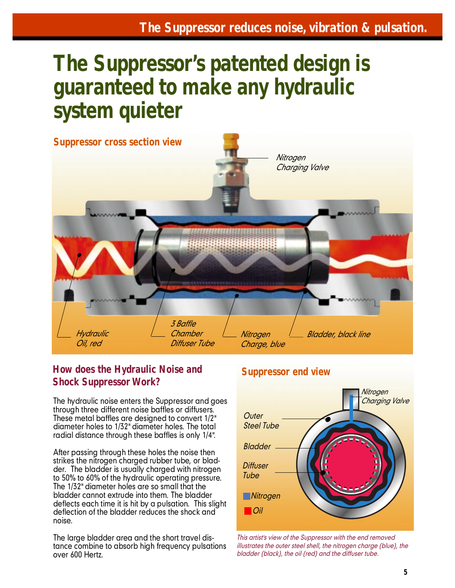### **The Suppressor's patented design is guaranteed to make any hydraulic system quieter**



#### **How does the Hydraulic Noise and Shock Suppressor Work?**

The hydraulic noise enters the Suppressor and goes through three different noise baffles or diffusers. These metal baffles are designed to convert 1/2" diameter holes to 1/32" diameter holes. The total radial distance through these baffles is only 1/4".

After passing through these holes the noise then strikes the nitrogen charged rubber tube, or bladder. The bladder is usually charged with nitrogen to 50% to 60% of the hydraulic operating pressure. The 1/32" diameter holes are so small that the bladder cannot extrude into them. The bladder deflects each time it is hit by a pulsation. This slight deflection of the bladder reduces the shock and noise.

The large bladder area and the short travel distance combine to absorb high frequency pulsations over 600 Hertz.

#### **Suppressor end view**



*This artist's view of the Suppressor with the end removed illustrates the outer steel shell, the nitrogen charge (blue), the bladder (black), the oil (red) and the diffuser tube.*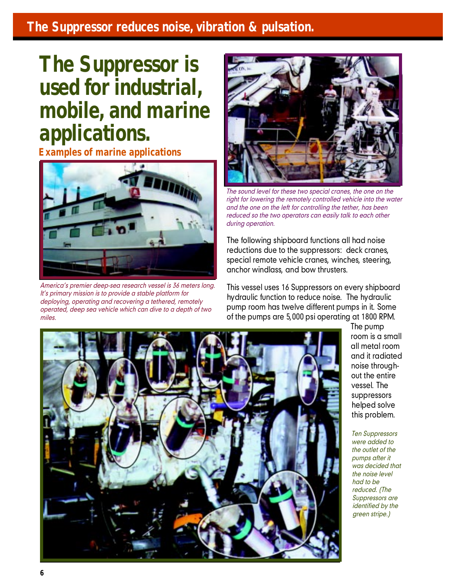### **The Suppressor reduces noise, vibration & pulsation.**

### **The Suppressor is used for industrial, mobile, and marine applications.**

**Examples of marine applications**



*America's premier deep-sea research vessel is 36 meters long. It's primary mission is to provide a stable platform for deploying, operating and recovering a tethered, remotely operated, deep sea vehicle which can dive to a depth of two miles.*



*The sound level for these two special cranes, the one on the right for lowering the remotely controlled vehicle into the water and the one on the left for controlling the tether, has been reduced so the two operators can easily talk to each other during operation.*

The following shipboard functions all had noise reductions due to the suppressors: deck cranes, special remote vehicle cranes, winches, steering, anchor windlass, and bow thrusters.

This vessel uses 16 Suppressors on every shipboard hydraulic function to reduce noise. The hydraulic pump room has twelve different pumps in it. Some of the pumps are 5,000 psi operating at 1800 RPM.



The pump room is a small all metal room and it radiated noise throughout the entire vessel. The suppressors helped solve this problem.

*Ten Suppressors were added to the outlet of the pumps after it was decided that the noise level had to be reduced. (The Suppressors are identified by the green stripe.)*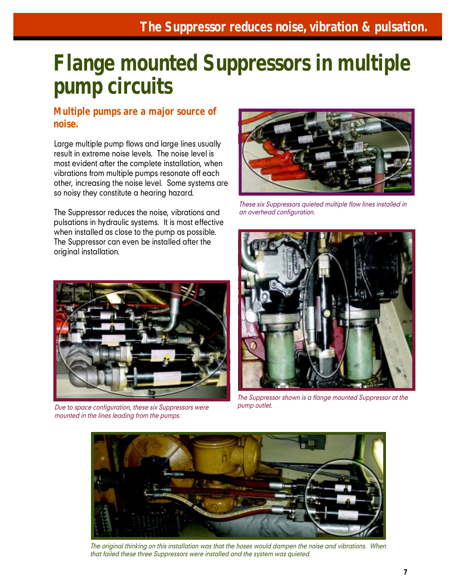### **Flange mounted Suppressors in multiple pump circuits**

#### **Multiple pumps are a major source of noise.**

Large multiple pump flows and large lines usually result in extreme noise levels. The noise level is most evident after the complete installation, when vibrations from multiple pumps resonate off each other, increasing the noise level. Some systems are so noisy they constitute a hearing hazard.

The Suppressor reduces the noise, vibrations and pulsations in hydraulic systems. It is most effective when installed as close to the pump as possible. The Suppressor can even be installed after the original installation.



*These six Suppressors quieted multiple flow lines installed in an overhead configuration.*



*Due to space configuration, these six Suppressors were mounted in the lines leading from the pumps.*



*The Suppressor shown is a flange mounted Suppressor at the pump outlet.*



*The original thinking on this installation was that the hoses would dampen the noise and vibrations. When that failed these three Suppressors were installed and the system was quieted.*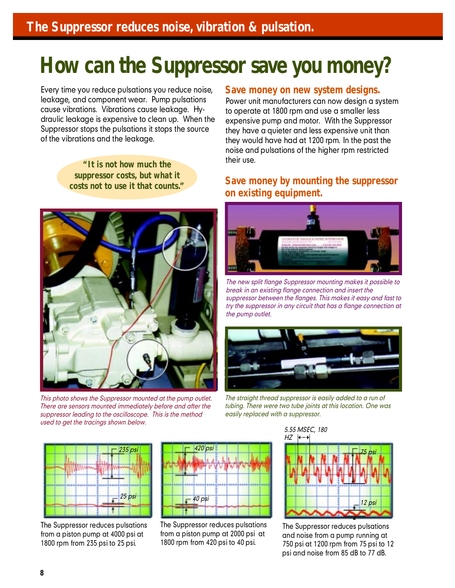### **How can the Suppressor save you money?**

Every time you reduce pulsations you reduce noise, leakage, and component wear. Pump pulsations cause vibrations. Vibrations cause leakage. Hydraulic leakage is expensive to clean up. When the Suppressor stops the pulsations it stops the source of the vibrations and the leakage.

> **"It is not how much the suppressor costs, but what it costs not to use it that counts."**



*This photo shows the Suppressor mounted at the pump outlet. There are sensors mounted immediately before and after the suppressor leading to the oscilloscope. This is the method used to get the tracings shown below.*

#### **Save money on new system designs.**

Power unit manufacturers can now design a system to operate at 1800 rpm and use a smaller less expensive pump and motor. With the Suppressor they have a quieter and less expensive unit than they would have had at 1200 rpm. In the past the noise and pulsations of the higher rpm restricted their use.

#### **Save money by mounting the suppressor on existing equipment.**



*The new split flange Suppressor mounting makes it possible to break in an existing flange connection and insert the suppressor between the flanges. This makes it easy and fast to try the suppressor in any circuit that has a flange connection at the pump outlet.*



*The straight thread suppressor is easily added to a run of tubing. There were two tube joints at this location. One was easily replaced with a suppressor.*



The Suppressor reduces pulsations from a piston pump at 4000 psi at 1800 rpm from 235 psi to 25 psi.



The Suppressor reduces pulsations from a piston pump at 2000 psi at 1800 rpm from 420 psi to 40 psi.



The Suppressor reduces pulsations and noise from a pump running at 750 psi at 1200 rpm from 75 psi to 12 psi and noise from 85 dB to 77 dB.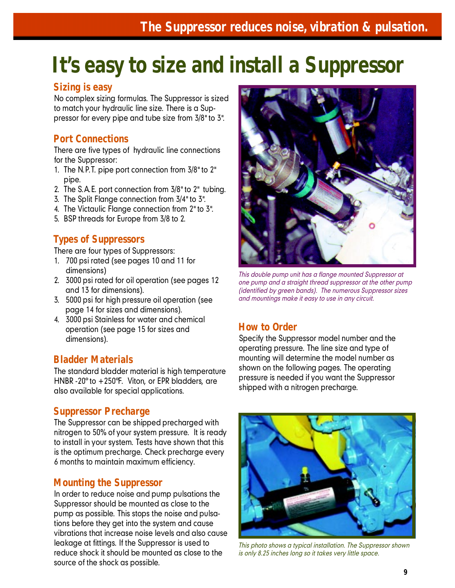### **It's easy to size and install a Suppressor**

#### **Sizing is easy**

No complex sizing formulas. The Suppressor is sized to match your hydraulic line size. There is a Suppressor for every pipe and tube size from 3/8" to 3".

#### **Port Connections**

There are five types of hydraulic line connections for the Suppressor:

- 1. The N.P.T. pipe port connection from 3/8" to 2" pipe.
- 2. The S.A.E. port connection from 3/8" to 2" tubing.
- 3. The Split Flange connection from 3/4" to 3".
- 4. The Victaulic Flange connection from 2" to 3".
- 5. BSP threads for Europe from 3/8 to 2.

#### **Types of Suppressors**

There are four types of Suppressors:

- 1. 700 psi rated (see pages 10 and 11 for dimensions)
- 2. 3000 psi rated for oil operation (see pages 12 and 13 for dimensions).
- 3. 5000 psi for high pressure oil operation (see page 14 for sizes and dimensions).
- 4. 3000 psi Stainless for water and chemical operation (see page 15 for sizes and dimensions).

#### **Bladder Materials**

The standard bladder material is high temperature HNBR -20° to +250°F. Viton, or EPR bladders, are also available for special applications.

#### **Suppressor Precharge**

The Suppressor can be shipped precharged with nitrogen to 50% of your system pressure. It is ready to install in your system. Tests have shown that this is the optimum precharge. Check precharge every 6 months to maintain maximum efficiency.

#### **Mounting the Suppressor**

In order to reduce noise and pump pulsations the Suppressor should be mounted as close to the pump as possible. This stops the noise and pulsations before they get into the system and cause vibrations that increase noise levels and also cause leakage at fittings. If the Suppressor is used to reduce shock it should be mounted as close to the source of the shock as possible.



*This double pump unit has a flange mounted Suppressor at one pump and a straight thread suppressor at the other pump (identified by green bands). The numerous Suppressor sizes and mountings make it easy to use in any circuit.*

#### **How to Order**

Specify the Suppressor model number and the operating pressure. The line size and type of mounting will determine the model number as shown on the following pages. The operating pressure is needed if you want the Suppressor shipped with a nitrogen precharge.



*This photo shows a typical installation. The Suppressor shown is only 8.25 inches long so it takes very little space.*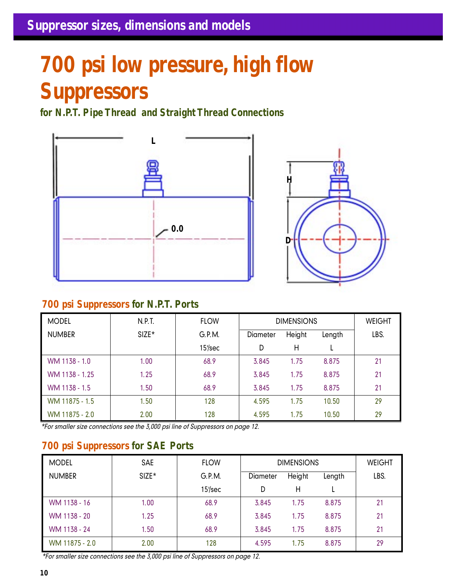## **700 psi low pressure, high flow Suppressors**

**for N.P.T. Pipe Thread and Straight Thread Connections**

![](_page_9_Figure_3.jpeg)

![](_page_9_Figure_4.jpeg)

#### **700 psi Suppressors for N.P.T. Ports**

| <b>MODEL</b>   | N.P.T.  | <b>FLOW</b> | <b>DIMENSIONS</b> |        | <b>WEIGHT</b> |      |
|----------------|---------|-------------|-------------------|--------|---------------|------|
| <b>NUMBER</b>  | $SIZE*$ | G.P.M.      | <b>Diameter</b>   | Height | Length        | LBS. |
|                |         | $15$ /sec   | D                 | Η      |               |      |
| WM 1138 - 1.0  | 1.00    | 68.9        | 3.845             | 1.75   | 8.875         | 21   |
| WM 1138 - 1.25 | 1.25    | 68.9        | 3.845             | 1.75   | 8.875         | 21   |
| WM 1138 - 1.5  | 1.50    | 68.9        | 3.845             | 1.75   | 8.875         | 21   |
| WM 11875 - 1.5 | 1.50    | 128         | 4.595             | 1.75   | 10.50         | 29   |
| WM 11875 - 2.0 | 2.00    | 128         | 4.595             | 1.75   | 10.50         | 29   |

*\*For smaller size connections see the 3,000 psi line of Suppressors on page 12.*

#### **700 psi Suppressors for SAE Ports**

| <b>MODEL</b>   | SAE     | <b>FLOW</b> | <b>DIMENSIONS</b> |        | <b>WEIGHT</b> |      |
|----------------|---------|-------------|-------------------|--------|---------------|------|
| <b>NUMBER</b>  | $SIZE*$ | G.P.M.      | Diameter          | Height |               | LBS. |
|                |         | $15$ /sec   | D                 | Н      |               |      |
| WM 1138 - 16   | 1.00    | 68.9        | 3.845             | 1.75   | 8.875         | 21   |
| WM 1138 - 20   | 1.25    | 68.9        | 3.845             | 1.75   | 8.875         | 21   |
| WM 1138 - 24   | 1.50    | 68.9        | 3.845             | 1.75   | 8.875         | 21   |
| WM 11875 - 2.0 | 2.00    | 128         | 4.595             | 1.75   | 8.875         | 29   |

*\*For smaller size connections see the 3,000 psi line of Suppressors on page 12.*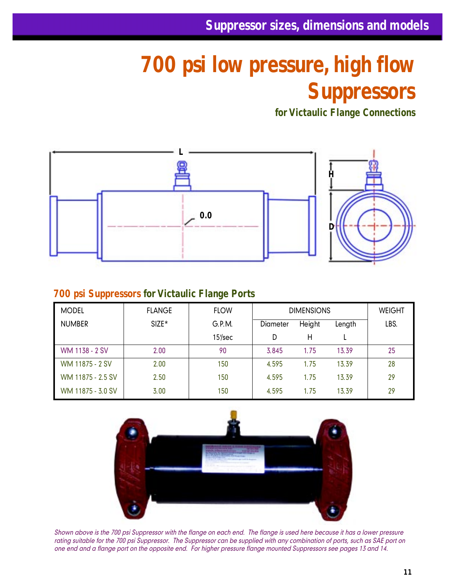### **700 psi low pressure, high flow Suppressors**

**for Victaulic Flange Connections**

![](_page_10_Figure_3.jpeg)

#### **700 psi Suppressors for Victaulic Flange Ports**

| <b>MODEL</b>      | <b>FLANGE</b> | <b>FLOW</b> | <b>DIMENSIONS</b> |        | <b>WEIGHT</b> |      |
|-------------------|---------------|-------------|-------------------|--------|---------------|------|
| <b>NUMBER</b>     | $SIZE*$       | G.P.M.      | Diameter          | Height |               | LBS. |
|                   |               | $15$ /sec   | D                 | Н      |               |      |
| WM 1138 - 2 SV    | 2.00          | 90          | 3.845             | 1.75   | 13.39         | 25   |
| WM 11875 - 2 SV   | 2.00          | 150         | 4.595             | 1.75   | 13.39         | 28   |
| WM 11875 - 2.5 SV | 2.50          | 150         | 4.595             | 1.75   | 13.39         | 29   |
| WM 11875 - 3.0 SV | 3.00          | 150         | 4.595             | 1.75   | 13.39         | 29   |

![](_page_10_Picture_6.jpeg)

*Shown above is the 700 psi Suppressor with the flange on each end. The flange is used here because it has a lower pressure rating suitable for the 700 psi Suppressor. The Suppressor can be supplied with any combination of ports, such as SAE port on one end and a flange port on the opposite end. For higher pressure flange mounted Suppressors see pages 13 and 14.*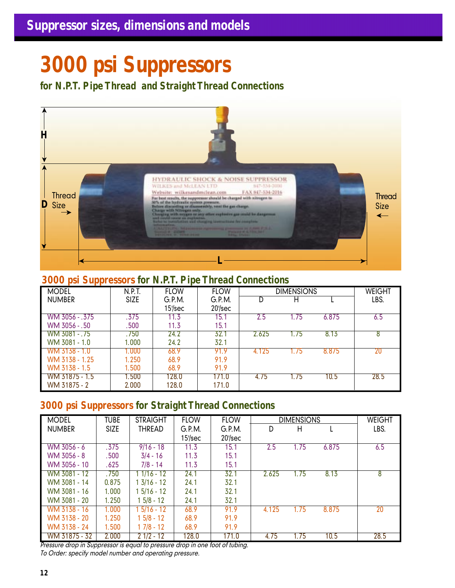### **3000 psi Suppressors**

**for N.P.T. Pipe Thread and Straight Thread Connections**

![](_page_11_Picture_3.jpeg)

#### **3000 psi Suppressors for N.P.T. Pipe Thread Connections**

| <b>MODEL</b>   | N.P.T.      | <b>FLOW</b>      | <b>FLOW</b>          |       | <b>DIMENSIONS</b> |       | WEIGHT |
|----------------|-------------|------------------|----------------------|-------|-------------------|-------|--------|
| <b>NUMBER</b>  | <b>SIZE</b> | G.P.M.<br>15/sec | G.P.M.<br>$20$ '/sec | D     | н                 |       | LBS.   |
| WM 3056 - .375 | .375        | 11.3             | 15.1                 | 2.5   | 1.75              | 6.875 | 6.5    |
| WM 3056 - .50  | .500        | 11.3             | 15.1                 |       |                   |       |        |
| WM 3081 - .75  | .750        | 24.2             | 32.1                 | 2.625 | 1.75              | 8.13  | 8      |
| WM 3081 - 1.0  | 1.000       | 24.2             | 32.1                 |       |                   |       |        |
| WM 3138 - 1.0  | 1.000       | 68.9             | 91.9                 | 4.125 | 1.75              | 8.875 | 20     |
| WM 3138 - 1.25 | 1.250       | 68.9             | 91.9                 |       |                   |       |        |
| WM 3138 - 1.5  | 1.500       | 68.9             | 91.9                 |       |                   |       |        |
| WM 31875 - 1.5 | 1.500       | 128.0            | 171.0                | 4.75  | 1.75              | 10.5  | 28.5   |
| WM 31875 - 2   | 2.000       | 128.0            | 171.0                |       |                   |       |        |

#### **3000 psi Suppressors for Straight Thread Connections**

| <b>MODEL</b>  | <b>TUBE</b> | <b>STRAIGHT</b>      | <b>FLOW</b> | <b>FLOW</b> |       | <b>DIMENSIONS</b> |       | <b>WEIGHT</b> |
|---------------|-------------|----------------------|-------------|-------------|-------|-------------------|-------|---------------|
| <b>NUMBER</b> | <b>SIZE</b> | THREAD               | G.P.M.      | G.P.M.      | D     | Η                 |       | LBS.          |
|               |             |                      | $15$ /sec   | $20$ '/sec  |       |                   |       |               |
| WM 3056 - 6   | .375        | $9/16 - 18$          | 11.3        | 15.1        | 2.5   | 1.75              | 6.875 | 6.5           |
| WM 3056 - 8   | .500        | $3/4 - 16$           | 11.3        | 15.1        |       |                   |       |               |
| WM 3056 - 10  | .625        | $7/8 - 14$           | 11.3        | 15.1        |       |                   |       |               |
| WM 3081 - 12  | .750        | $11/16 - 12$         | 24.1        | 32.1        | 2.625 | 1.75              | 8.13  | 8             |
| WM 3081 - 14  | 0.875       | $1\frac{3}{16} - 12$ | 24.1        | 32.1        |       |                   |       |               |
| WM 3081 - 16  | 1.000       | $15/16 - 12$         | 24.1        | 32.1        |       |                   |       |               |
| WM 3081 - 20  | 1.250       | l 5/8 - 12           | 24.1        | 32.1        |       |                   |       |               |
| WM 3138 - 16  | 1.000       | $5/16 - 12$          | 68.9        | 91.9        | 4.125 | 1.75              | 8.875 | 20            |
| WM 3138 - 20  | 1.250       | $15/8 - 12$          | 68.9        | 91.9        |       |                   |       |               |
| WM 3138 - 24  | 1.500       | $17/8 - 12$          | 68.9        | 91.9        |       |                   |       |               |
| WM 31875 - 32 | 2.000       | $21/2 - 12$          | 128.0       | 171.0       | 4.75  | 1.75              | 10.5  | 28.5          |

*Pressure drop in Suppressor is equal to pressure drop in one foot of tubing. To Order: specify model number and operating pressure.*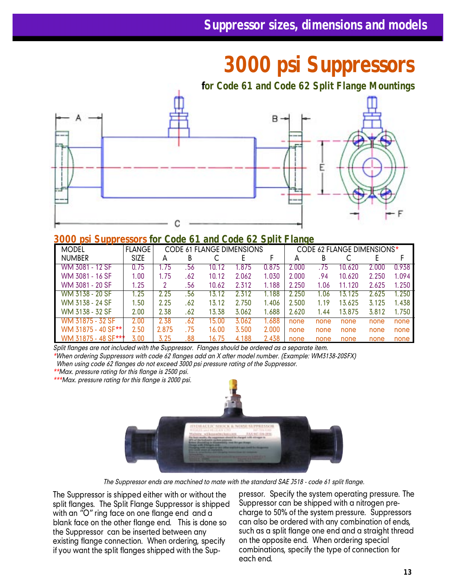### **3000 psi Suppressors**

![](_page_12_Figure_2.jpeg)

#### **3000 psi Suppressors for Code 61 and Code 62 Split Flange**

| <b>MODEL</b>        | <b>FLANGE</b> |       | <b>CODE 61 FLANGE DIMENSIONS</b> |       |       |       |       |      | CODE 62 FLANGE DIMENSIONS* |       |       |
|---------------------|---------------|-------|----------------------------------|-------|-------|-------|-------|------|----------------------------|-------|-------|
| <b>NUMBER</b>       | <b>SIZE</b>   | А     | В                                |       |       |       | А     | В    |                            |       |       |
| WM 3081 - 12 SF     | 0.75          | 1.75  | 56                               | 10.12 | 1.875 | 0.875 | 2.000 | 75   | 10.620                     | 2.000 | 0.938 |
| WM 3081 - 16 SF     | I.OO          | 1.75  | .62                              | 10.12 | 2.062 | 1.030 | 2.000 | .94  | 10.620                     | 2.250 | 1.094 |
| WM 3081 - 20 SF     | 1.25          |       | .56                              | 10.62 | 2.312 | 1.188 | 2.250 | 1.06 | 11.120                     | 2.625 | 1.250 |
| WM 3138 - 20 SF     | 1.25          | 2.25  | .56                              | 13.12 | 2.312 | 1.188 | 2.250 | 1.06 | 3.125                      | 2.625 | 1.250 |
| WM 3138 - 24 SF     | 1,50          | 2.25  | . 62                             | 13.12 | 2.750 | 1.406 | 2.500 | 1.19 | 3.625                      | 3.125 | 1.438 |
| WM 3138 - 32 SF     | 2.00          | 2.38  | . 62                             | 13.38 | 3.062 | 1.688 | 2.620 | 1.44 | 13.875                     | 3.812 | 1.750 |
| WM 31875 - 32 SF    | 2.00          | 2.38  | -62                              | 15.00 | 3.062 | 1.688 | none  | none | none                       | none  | none  |
| WM 31875 - 40 SF**  | 2.50          | 2.875 | .75                              | 16.00 | 3.500 | 2.000 | none  | none | none                       | none  | none  |
| WM 31875 - 48 SF*** | 3.00          | 3.25  | .88                              | 16.75 | 4.188 | 2.438 | none  | none | none                       | none  | none  |

*Split flanges are not included with the Suppressor. Flanges should be ordered as a separate item.*

*\*When ordering Suppressors with code 62 flanges add an X after model number. (Example: WM3138-20SFX)*

 *When using code 62 flanges do not exceed 3000 psi pressure rating of the Suppressor.*

*\*\*Max. pressure rating for this flange is 2500 psi.*

*\*\*\*Max. pressure rating for this flange is 2000 psi.*

![](_page_12_Picture_10.jpeg)

*The Suppressor ends are machined to mate with the standard SAE J518 - code 61 split flange.*

The Suppressor is shipped either with or without the split flanges. The Split Flange Suppressor is shipped with an "O" ring face on one flange end and a blank face on the other flange end. This is done so the Suppressor can be inserted between any existing flange connection. When ordering, specify if you want the split flanges shipped with the Suppressor. Specify the system operating pressure. The Suppressor can be shipped with a nitrogen precharge to 50% of the system pressure. Suppressors can also be ordered with any combination of ends, such as a split flange one end and a straight thread on the opposite end. When ordering special combinations, specify the type of connection for each end.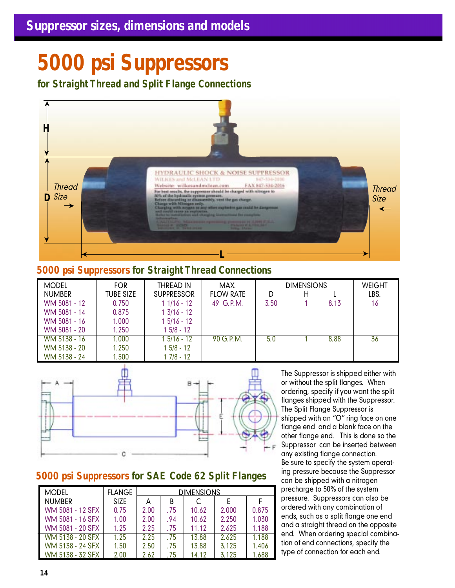### **5000 psi Suppressors**

**for Straight Thread and Split Flange Connections**

![](_page_13_Picture_3.jpeg)

#### **5000 psi Suppressors for Straight Thread Connections**

| <b>MODEL</b>  | <b>FOR</b>       | THREAD IN            | MAX.             | <b>DIMENSIONS</b> |   |      | <b>WEIGHT</b> |
|---------------|------------------|----------------------|------------------|-------------------|---|------|---------------|
| <b>NUMBER</b> | <b>TUBE SIZE</b> | <b>SUPPRESSOR</b>    | <b>FLOW RATE</b> | D                 | Н |      | LBS.          |
| WM 5081 - 12  | 0.750            | $11/16 - 12$         | 49 G.P.M.        | 3.50              |   | 8.13 | 16            |
| WM 5081 - 14  | 0.875            | $1\frac{3}{16} - 12$ |                  |                   |   |      |               |
| WM 5081 - 16  | 1.000            | $15/16 - 12$         |                  |                   |   |      |               |
| WM 5081 - 20  | 1.250            | $15/8 - 12$          |                  |                   |   |      |               |
| WM 5138 - 16  | 1.000            | $15/16 - 12$         | 90 G.P.M.        | 5.0               |   | 8.88 | 36            |
| WM 5138 - 20  | 1.250            | $15/8 - 12$          |                  |                   |   |      |               |
| WM 5138 - 24  | 1.500            | 1 7/8 - 12           |                  |                   |   |      |               |

![](_page_13_Figure_6.jpeg)

#### **5000 psi Suppressors for SAE Code 62 Split Flanges**

| <b>MODEL</b>            | <b>FLANGE</b> | <b>DIMENSIONS</b> |      |       |       |       |  |  |
|-------------------------|---------------|-------------------|------|-------|-------|-------|--|--|
| <b>NUMBER</b>           | <b>SIZE</b>   | А                 | B    |       |       |       |  |  |
| WM 5081 - 12 SFX        | 0.75          | 2.00              | .75  | 10.62 | 2.000 | 0.875 |  |  |
| WM 5081 - 16 SFX        | 1.00          | 2.00              | .94  | 10.62 | 2.250 | 1.030 |  |  |
| WM 5081 - 20 SFX        | 1.25          | 2.25              | . 75 | 11.12 | 2.625 | 1.188 |  |  |
| <b>WM 5138 - 20 SFX</b> | 1.25          | 2.25              | . 75 | 13.88 | 2.625 | 1.188 |  |  |
| WM 5138 - 24 SFX        | 1.50          | 2.50              | . 75 | 13.88 | 3.125 | 1.406 |  |  |
| WM 5138 - 32 SFX        | 2.00          | 2.62              | .75  | 14 12 | 3.125 | 1.688 |  |  |

The Suppressor is shipped either with or without the split flanges. When ordering, specify if you want the split flanges shipped with the Suppressor. The Split Flange Suppressor is shipped with an "O" ring face on one flange end and a blank face on the other flange end. This is done so the Suppressor can be inserted between any existing flange connection. Be sure to specify the system operating pressure because the Suppressor can be shipped with a nitrogen precharge to 50% of the system pressure. Suppressors can also be ordered with any combination of ends, such as a split flange one end and a straight thread on the opposite end. When ordering special combination of end connections, specify the type of connection for each end.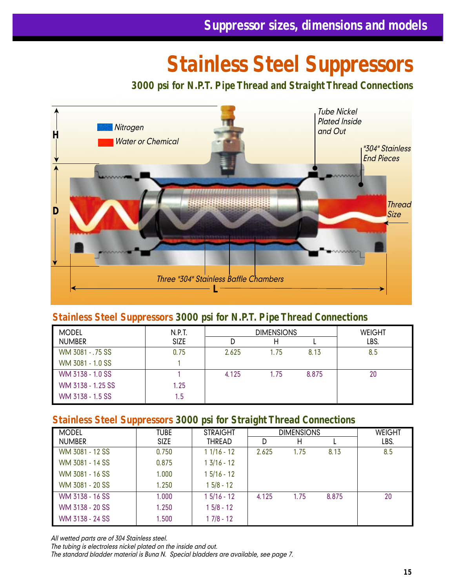### **Stainless Steel Suppressors**

**3000 psi for N.P.T. Pipe Thread and Straight Thread Connections**

![](_page_14_Figure_3.jpeg)

#### **Stainless Steel Suppressors 3000 psi for N.P.T. Pipe Thread Connections**

| <b>MODEL</b>      | N.P.T.      |       | <b>DIMENSIONS</b> | <b>WEIGHT</b> |      |
|-------------------|-------------|-------|-------------------|---------------|------|
| <b>NUMBER</b>     | <b>SIZE</b> |       | Н                 |               | LBS. |
| WM 3081 - .75 SS  | 0.75        | 2.625 | 1.75              | 8.13          | 8.5  |
| WM 3081 - 1.0 SS  |             |       |                   |               |      |
| WM 3138 - 1.0 SS  |             | 4.125 | 1.75              | 8.875         | 20   |
| WM 3138 - 1.25 SS | 1.25        |       |                   |               |      |
| WM 3138 - 1.5 SS  | 1.5         |       |                   |               |      |

#### **Stainless Steel Suppressors 3000 psi for Straight Thread Connections**

| <b>MODEL</b>    | <b>TUBE</b> | <b>STRAIGHT</b> | <b>DIMENSIONS</b> |      |       | <b>WEIGHT</b> |
|-----------------|-------------|-----------------|-------------------|------|-------|---------------|
| <b>NUMBER</b>   | <b>SIZE</b> | <b>THREAD</b>   | D                 | н    |       | LBS.          |
| WM 3081 - 12 SS | 0.750       | $11/16 - 12$    | 2.625             | 1.75 | 8.13  | 8.5           |
| WM 3081 - 14 SS | 0.875       | $13/16 - 12$    |                   |      |       |               |
| WM 3081 - 16 SS | 1.000       | $15/16 - 12$    |                   |      |       |               |
| WM 3081 - 20 SS | 1.250       | $15/8 - 12$     |                   |      |       |               |
| WM 3138 - 16 SS | 1.000       | $15/16 - 12$    | 4.125             | 1.75 | 8.875 | 20            |
| WM 3138 - 20 SS | 1.250       | $15/8 - 12$     |                   |      |       |               |
| WM 3138 - 24 SS | 1.500       | $17/8 - 12$     |                   |      |       |               |

*All wetted parts are of 304 Stainless steel.*

*The tubing is electroless nickel plated on the inside and out.*

*The standard bladder material is Buna N. Special bladders are available, see page 7.*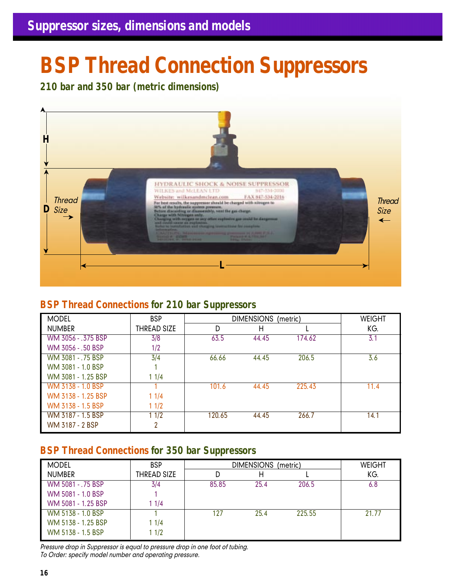### **BSP Thread Connection Suppressors**

**210 bar and 350 bar (metric dimensions)**

![](_page_15_Picture_3.jpeg)

#### **BSP Thread Connections for 210 bar Suppressors**

| <b>MODEL</b>       | <b>BSP</b>         | DIMENSIONS (metric) | <b>WEIGHT</b> |        |      |
|--------------------|--------------------|---------------------|---------------|--------|------|
| <b>NUMBER</b>      | <b>THREAD SIZE</b> | D                   | н             |        | KG.  |
| WM 3056 - .375 BSP | 3/8                | 63.5                | 44.45         | 174.62 | 3.1  |
| WM 3056 - .50 BSP  | 1/2                |                     |               |        |      |
| WM 3081 - .75 BSP  | 3/4                | 66.66               | 44.45         | 206.5  | 3.6  |
| WM 3081 - 1.0 BSP  |                    |                     |               |        |      |
| WM 3081 - 1.25 BSP | 11/4               |                     |               |        |      |
| WM 3138 - 1.0 BSP  |                    | 101.6               | 44.45         | 225.43 | 11.4 |
| WM 3138 - 1.25 BSP | 11/4               |                     |               |        |      |
| WM 3138 - 1.5 BSP  | 11/2               |                     |               |        |      |
| WM 3187 - 1.5 BSP  | 11/2               | 120.65              | 44.45         | 266.7  | 14.1 |
| WM 3187 - 2 BSP    | າ                  |                     |               |        |      |

#### **BSP Thread Connections for 350 bar Suppressors**

| <b>MODEL</b>       | <b>BSP</b>         | <b>DIMENSIONS</b><br>(metric) |      |        | <b>WEIGHT</b> |
|--------------------|--------------------|-------------------------------|------|--------|---------------|
| <b>NUMBER</b>      | <b>THREAD SIZE</b> |                               | Н    |        | KG.           |
| WM 5081 - .75 BSP  | 3/4                | 85.85                         | 25.4 | 206.5  | 6.8           |
| WM 5081 - 1.0 BSP  |                    |                               |      |        |               |
| WM 5081 - 1.25 BSP | 1 1/4              |                               |      |        |               |
| WM 5138 - 1.0 BSP  |                    | 127                           | 25.4 | 225.55 | 21.77         |
| WM 5138 - 1.25 BSP | 1 1/4              |                               |      |        |               |
| WM 5138 - 1.5 BSP  | 11/2               |                               |      |        |               |

*Pressure drop in Suppressor is equal to pressure drop in one foot of tubing. To Order: specify model number and operating pressure.*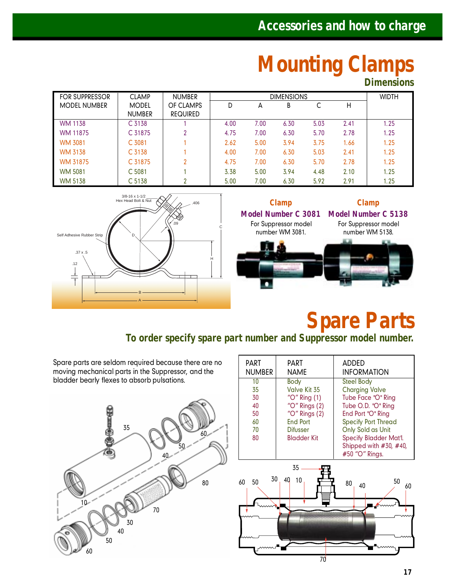### **Mounting Clamps**

**Dimensions**

| <b>FOR SUPPRESSOR</b> | <b>CLAMP</b>                  | <b>NUMBER</b><br><b>DIMENSIONS</b> |      |      | <b>WIDTH</b> |      |      |      |
|-----------------------|-------------------------------|------------------------------------|------|------|--------------|------|------|------|
| <b>MODEL NUMBER</b>   | <b>MODEL</b><br><b>NUMBER</b> | OF CLAMPS<br><b>REQUIRED</b>       |      | А    | В            |      | Н    |      |
| <b>WM 1138</b>        | C <sub>3138</sub>             |                                    | 4.00 | 7.00 | 6.30         | 5.03 | 2.41 | 1.25 |
| WM 11875              | C 31875                       | ∩                                  | 4.75 | 7.00 | 6.30         | 5.70 | 2.78 | 1.25 |
| <b>WM 3081</b>        | C <sub>3081</sub>             |                                    | 2.62 | 5.00 | 3.94         | 3.75 | 1.66 | 1.25 |
| <b>WM 3138</b>        | C <sub>3138</sub>             |                                    | 4.00 | 7.00 | 6.30         | 5.03 | 2.41 | 1.25 |
| WM 31875              | C 31875                       | ົ                                  | 4.75 | 7.00 | 6.30         | 5.70 | 2.78 | 1.25 |
| <b>WM 5081</b>        | C <sub>5081</sub>             |                                    | 3.38 | 5.00 | 3.94         | 4.48 | 2.10 | 1.25 |
| <b>WM 5138</b>        | C <sub>5138</sub>             | ົ                                  | 5.00 | 7.00 | 6.30         | 5.92 | 2.91 | 1.25 |

![](_page_16_Figure_4.jpeg)

![](_page_16_Picture_5.jpeg)

### **Spare Parts**

**To order specify spare part number and Suppressor model number.**

Spare parts are seldom required because there are no moving mechanical parts in the Suppressor, and the bladder bearly flexes to absorb pulsations.

![](_page_16_Picture_9.jpeg)

| PART<br><b>NUMBER</b> | PART<br><b>NAME</b>                   | ADDED<br><b>INFORMATION</b>                        |
|-----------------------|---------------------------------------|----------------------------------------------------|
| 10                    | Body                                  | <b>Steel Body</b>                                  |
| 35<br>30              | Valve Kit 35<br>"O" Ring (1)          | <b>Charging Valve</b><br>Tube Face "O" Ring        |
| 40                    | "O" Rings (2)                         | Tube O.D. "O" Ring                                 |
| 50                    | " $O$ " Rings $(2)$                   | End Port "O" Ring                                  |
| 60                    | <b>End Port</b>                       | <b>Specify Port Thread</b>                         |
| 70<br>80              | <b>Difusser</b><br><b>Bladder Kit</b> | Only Sold as Unit<br><b>Specify Bladder Mat'l.</b> |
|                       |                                       | Shipped with #30, #40,                             |
|                       |                                       | #50 "O" Rings.                                     |
|                       | 35                                    |                                                    |
| 30<br>50<br>60        | 40<br>10                              | 50<br>80<br>40<br>60                               |
|                       |                                       |                                                    |
|                       |                                       |                                                    |
|                       |                                       |                                                    |
|                       |                                       |                                                    |
|                       | 70                                    |                                                    |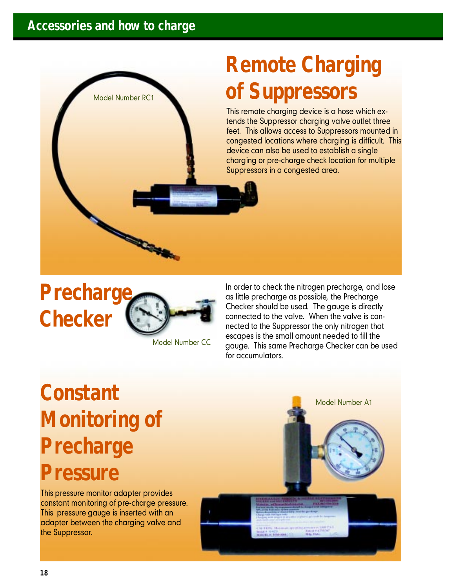Model Number RC1

## **Remote Charging of Suppressors**

This remote charging device is a hose which extends the Suppressor charging valve outlet three feet. This allows access to Suppressors mounted in congested locations where charging is difficult. This device can also be used to establish a single charging or pre-charge check location for multiple Suppressors in a congested area.

### **Precharge Checker**

![](_page_17_Picture_4.jpeg)

Model Number CC

In order to check the nitrogen precharge, and lose as little precharge as possible, the Precharge Checker should be used. The gauge is directly connected to the valve. When the valve is connected to the Suppressor the only nitrogen that escapes is the small amount needed to fill the gauge. This same Precharge Checker can be used for accumulators.

### **Constant Monitoring of Precharge Pressure**

This pressure monitor adapter provides constant monitoring of pre-charge pressure. This pressure gauge is inserted with an adapter between the charging valve and the Suppressor.

Model Number A1

![](_page_17_Picture_10.jpeg)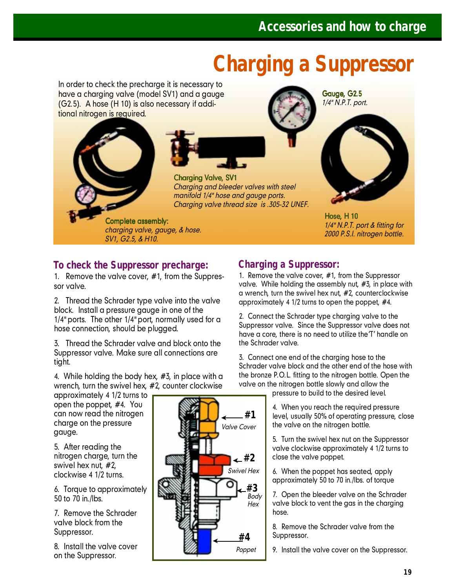### **Charging a Suppressor**

In order to check the precharge it is necessary to have a charging valve (model SV1) and a gauge (G2.5). A hose (H 10) is also necessary if additional nitrogen is required.

![](_page_18_Picture_3.jpeg)

Charging Valve, SV1 *Charging and bleeder valves with steel manifold 1/4" hose and gauge ports. Charging valve thread size is .305-32 UNEF.*

Complete assembly: *charging valve, gauge, & hose. SV1, G2.5, & H10.*

Gauge, G2.5 *1/4" N.P.T. port.*

![](_page_18_Picture_7.jpeg)

Hose, H 10 *1/4" N.P.T. port & fitting for 2000 P.S.I. nitrogen bottle.*

#### **To check the Suppressor precharge:**

1. Remove the valve cover, #1, from the Suppressor valve.

2. Thread the Schrader type valve into the valve block. Install a pressure gauge in one of the 1/4" ports. The other 1/4" port, normally used for a hose connection, should be plugged.

3. Thread the Schrader valve and block onto the Suppressor valve. Make sure all connections are tight.

4. While holding the body hex, #3, in place with a wrench, turn the swivel hex, #2, counter clockwise

approximately 4 1/2 turns to open the poppet, #4. You can now read the nitrogen charge on the pressure gauge.

5. After reading the nitrogen charge, turn the swivel hex nut, #2, clockwise 4 1/2 turns.

6. Torque to approximately 50 to 70 in./lbs.

7. Remove the Schrader valve block from the Suppressor.

8. Install the valve cover on the Suppressor.

![](_page_18_Figure_19.jpeg)

#### **Charging a Suppressor:**

1. Remove the valve cover, #1, from the Suppressor valve. While holding the assembly nut, #3, in place with a wrench, turn the swivel hex nut, #2, counterclockwise approximately 4 1/2 turns to open the poppet, #4.

2. Connect the Schrader type charging valve to the Suppressor valve. Since the Suppressor valve does not have a core, there is no need to utilize the'T' handle on the Schrader valve.

3. Connect one end of the charging hose to the Schrader valve block and the other end of the hose with the bronze P.O.L. fitting to the nitrogen bottle. Open the valve on the nitrogen bottle slowly and allow the pressure to build to the desired level.

> 4. When you reach the required pressure level, usually 50% of operating pressure, close

the valve on the nitrogen bottle. 5. Turn the swivel hex nut on the Suppressor valve clockwise approximately 4 1/2 turns to close the valve poppet.

6. When the poppet has seated, apply approximately 50 to 70 in./lbs. of torque

7. Open the bleeder valve on the Schrader valve block to vent the gas in the charging hose.

8. Remove the Schrader valve from the Suppressor.

9. Install the valve cover on the Suppressor.